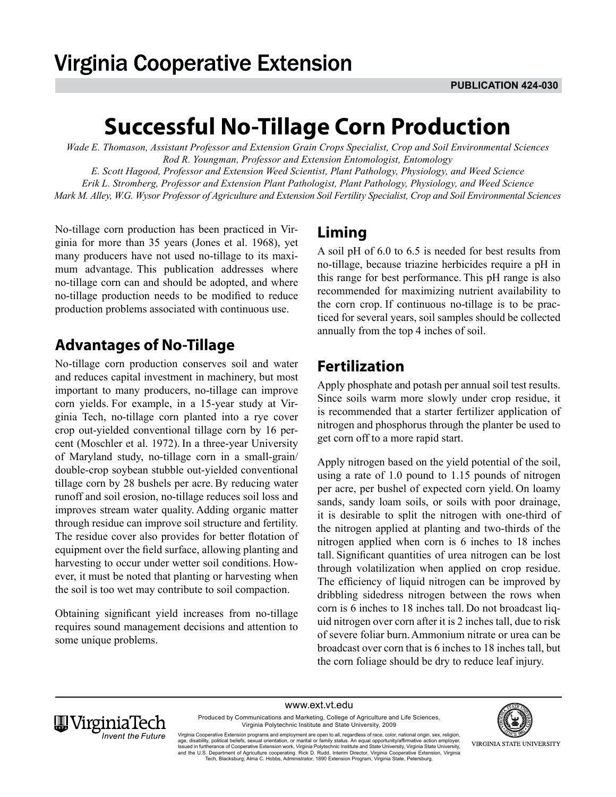# **Successful No-Tillage Corn Production**

*Wade E. Thomason, Assistant Professor and Extension Grain Crops Specialist, Crop and Soil Environmental Sciences Rod R. Youngman, Professor and Extension Entomologist, Entomology E. Scott Hagood, Professor and Extension Weed Scientist, Plant Pathology, Physiology, and Weed Science* 

*Erik L. Stromberg, Professor and Extension Plant Pathologist, Plant Pathology, Physiology, and Weed Science Mark M. Alley, W.G. Wysor Professor of Agriculture and Extension Soil Fertility Specialist, Crop and Soil Environmental Sciences*

No-tillage corn production has been practiced in Virginia for more than 35 years (Jones et al. 1968), yet many producers have not used no-tillage to its maximum advantage. This publication addresses where no-tillage corn can and should be adopted, and where no-tillage production needs to be modified to reduce production problems associated with continuous use.

# **Advantages of No-Tillage**

No-tillage corn production conserves soil and water and reduces capital investment in machinery, but most important to many producers, no-tillage can improve corn yields. For example, in a 15-year study at Virginia Tech, no-tillage corn planted into a rye cover crop out-yielded conventional tillage corn by 16 percent (Moschler et al. 1972). In a three-year University of Maryland study, no-tillage corn in a small-grain/ double-crop soybean stubble out-yielded conventional tillage corn by 28 bushels per acre. By reducing water runoff and soil erosion, no-tillage reduces soil loss and improves stream water quality. Adding organic matter through residue can improve soil structure and fertility. The residue cover also provides for better flotation of equipment over the field surface, allowing planting and harvesting to occur under wetter soil conditions. However, it must be noted that planting or harvesting when the soil is too wet may contribute to soil compaction.

Obtaining significant yield increases from no-tillage requires sound management decisions and attention to some unique problems.

# **Liming**

A soil pH of 6.0 to 6.5 is needed for best results from no-tillage, because triazine herbicides require a pH in this range for best performance. This pH range is also recommended for maximizing nutrient availability to the corn crop. If continuous no-tillage is to be practiced for several years, soil samples should be collected annually from the top 4 inches of soil.

# **Fertilization**

Apply phosphate and potash per annual soil test results. Since soils warm more slowly under crop residue, it is recommended that a starter fertilizer application of nitrogen and phosphorus through the planter be used to get corn off to a more rapid start.

Apply nitrogen based on the yield potential of the soil, using a rate of 1.0 pound to 1.15 pounds of nitrogen per acre, per bushel of expected corn yield. On loamy sands, sandy loam soils, or soils with poor drainage, it is desirable to split the nitrogen with one-third of the nitrogen applied at planting and two-thirds of the nitrogen applied when corn is 6 inches to 18 inches tall. Significant quantities of urea nitrogen can be lost through volatilization when applied on crop residue. The efficiency of liquid nitrogen can be improved by dribbling sidedress nitrogen between the rows when corn is 6 inches to 18 inches tall. Do not broadcast liquid nitrogen over corn after it is 2 inches tall, due to risk of severe foliar burn.Ammonium nitrate or urea can be broadcast over corn that is 6 inches to 18 inches tall, but the corn foliage should be dry to reduce leaf injury.

www.ext.vt.edu Produced by Communications and Marketing, College of Agriculture and Life Sciences,



Virginia Polytechnic Institute and State University, 2009 Virginia Cooperative Extension programs and employment are open to all, regardless of race, color, national origin, sex, religion,<br>age, disability, political beliefs, sexual orientation, or marital or family status. An equ and the U.S. Department of Agriculture cooperating. Rick D. Rudd, Interim Director, Virginia Cooperative Extension, Virginia<br>Tech, Blacksburg; Alma C. Hobbs, Administrator, 1890 Extension Program, Virginia State, Petersbur



VIRGINIA STATE UNIVERSITY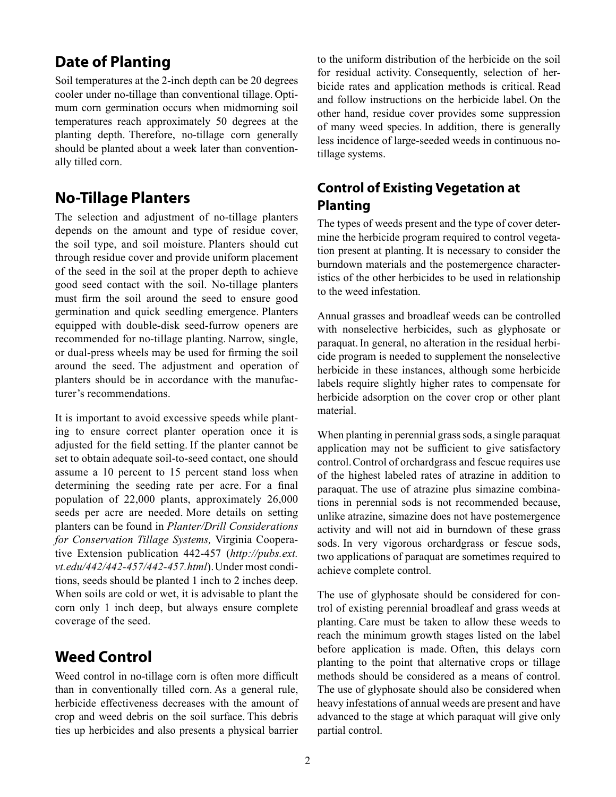## **Date of Planting**

Soil temperatures at the 2-inch depth can be 20 degrees cooler under no-tillage than conventional tillage. Optimum corn germination occurs when midmorning soil temperatures reach approximately 50 degrees at the planting depth. Therefore, no-tillage corn generally should be planted about a week later than conventionally tilled corn.

### **No-Tillage Planters**

The selection and adjustment of no-tillage planters depends on the amount and type of residue cover, the soil type, and soil moisture. Planters should cut through residue cover and provide uniform placement of the seed in the soil at the proper depth to achieve good seed contact with the soil. No-tillage planters must firm the soil around the seed to ensure good germination and quick seedling emergence. Planters equipped with double-disk seed-furrow openers are recommended for no-tillage planting. Narrow, single, or dual-press wheels may be used for firming the soil around the seed. The adjustment and operation of planters should be in accordance with the manufacturer's recommendations.

It is important to avoid excessive speeds while planting to ensure correct planter operation once it is adjusted for the field setting. If the planter cannot be set to obtain adequate soil-to-seed contact, one should assume a 10 percent to 15 percent stand loss when determining the seeding rate per acre. For a final population of 22,000 plants, approximately 26,000 seeds per acre are needed. More details on setting planters can be found in *Planter/Drill Considerations for Conservation Tillage Systems,* Virginia Cooperative Extension publication 442-457 (*http://pubs.ext. vt.edu/442/442-457/442-457.html*).Under most conditions, seeds should be planted 1 inch to 2 inches deep. When soils are cold or wet, it is advisable to plant the corn only 1 inch deep, but always ensure complete coverage of the seed.

### **Weed Control**

Weed control in no-tillage corn is often more difficult than in conventionally tilled corn. As a general rule, herbicide effectiveness decreases with the amount of crop and weed debris on the soil surface. This debris ties up herbicides and also presents a physical barrier

to the uniform distribution of the herbicide on the soil for residual activity. Consequently, selection of herbicide rates and application methods is critical. Read and follow instructions on the herbicide label. On the other hand, residue cover provides some suppression of many weed species. In addition, there is generally less incidence of large-seeded weeds in continuous notillage systems.

### **Control of Existing Vegetation at Planting**

The types of weeds present and the type of cover determine the herbicide program required to control vegetation present at planting. It is necessary to consider the burndown materials and the postemergence characteristics of the other herbicides to be used in relationship to the weed infestation.

Annual grasses and broadleaf weeds can be controlled with nonselective herbicides, such as glyphosate or paraquat.In general, no alteration in the residual herbicide program is needed to supplement the nonselective herbicide in these instances, although some herbicide labels require slightly higher rates to compensate for herbicide adsorption on the cover crop or other plant material.

When planting in perennial grass sods, a single paraquat application may not be sufficient to give satisfactory control.Control of orchardgrass and fescue requires use of the highest labeled rates of atrazine in addition to paraquat. The use of atrazine plus simazine combinations in perennial sods is not recommended because, unlike atrazine, simazine does not have postemergence activity and will not aid in burndown of these grass sods. In very vigorous orchardgrass or fescue sods, two applications of paraquat are sometimes required to achieve complete control.

The use of glyphosate should be considered for control of existing perennial broadleaf and grass weeds at planting. Care must be taken to allow these weeds to reach the minimum growth stages listed on the label before application is made. Often, this delays corn planting to the point that alternative crops or tillage methods should be considered as a means of control. The use of glyphosate should also be considered when heavy infestations of annual weeds are present and have advanced to the stage at which paraquat will give only partial control.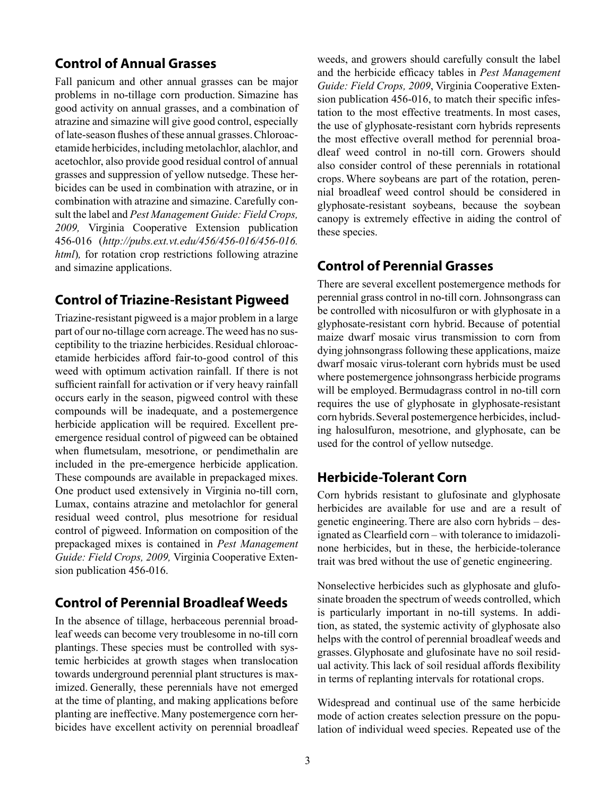### **Control of Annual Grasses**

Fall panicum and other annual grasses can be major problems in no-tillage corn production. Simazine has good activity on annual grasses, and a combination of atrazine and simazine will give good control, especially of late-season flushes of these annual grasses.Chloroacetamide herbicides, including metolachlor, alachlor, and acetochlor, also provide good residual control of annual grasses and suppression of yellow nutsedge. These herbicides can be used in combination with atrazine, or in combination with atrazine and simazine. Carefully consult the label and *Pest Management Guide: Field Crops, 2009,* Virginia Cooperative Extension publication 456-016 (*http://pubs.ext.vt.edu/456/456-016/456-016. html*)*,* for rotation crop restrictions following atrazine and simazine applications.

### **Control of Triazine-Resistant Pigweed**

Triazine-resistant pigweed is a major problem in a large part of our no-tillage corn acreage.The weed has no susceptibility to the triazine herbicides.Residual chloroacetamide herbicides afford fair-to-good control of this weed with optimum activation rainfall. If there is not sufficient rainfall for activation or if very heavy rainfall occurs early in the season, pigweed control with these compounds will be inadequate, and a postemergence herbicide application will be required. Excellent preemergence residual control of pigweed can be obtained when flumetsulam, mesotrione, or pendimethalin are included in the pre-emergence herbicide application. These compounds are available in prepackaged mixes. One product used extensively in Virginia no-till corn, Lumax, contains atrazine and metolachlor for general residual weed control, plus mesotrione for residual control of pigweed. Information on composition of the prepackaged mixes is contained in *Pest Management Guide: Field Crops, 2009,* Virginia Cooperative Extension publication 456-016.

#### **Control of Perennial Broadleaf Weeds**

In the absence of tillage, herbaceous perennial broadleaf weeds can become very troublesome in no-till corn plantings. These species must be controlled with systemic herbicides at growth stages when translocation towards underground perennial plant structures is maximized. Generally, these perennials have not emerged at the time of planting, and making applications before planting are ineffective.Many postemergence corn herbicides have excellent activity on perennial broadleaf weeds, and growers should carefully consult the label and the herbicide efficacy tables in *Pest Management Guide: Field Crops, 2009*, Virginia Cooperative Extension publication 456-016, to match their specific infestation to the most effective treatments. In most cases, the use of glyphosate-resistant corn hybrids represents the most effective overall method for perennial broadleaf weed control in no-till corn. Growers should also consider control of these perennials in rotational crops. Where soybeans are part of the rotation, perennial broadleaf weed control should be considered in glyphosate-resistant soybeans, because the soybean canopy is extremely effective in aiding the control of these species.

### **Control of Perennial Grasses**

There are several excellent postemergence methods for perennial grass control in no-till corn. Johnsongrass can be controlled with nicosulfuron or with glyphosate in a glyphosate-resistant corn hybrid. Because of potential maize dwarf mosaic virus transmission to corn from dying johnsongrass following these applications, maize dwarf mosaic virus-tolerant corn hybrids must be used where postemergence johnsongrass herbicide programs will be employed. Bermudagrass control in no-till corn requires the use of glyphosate in glyphosate-resistant corn hybrids.Several postemergence herbicides, including halosulfuron, mesotrione, and glyphosate, can be used for the control of yellow nutsedge.

#### **Herbicide-Tolerant Corn**

Corn hybrids resistant to glufosinate and glyphosate herbicides are available for use and are a result of genetic engineering.There are also corn hybrids – designated as Clearfield corn – with tolerance to imidazolinone herbicides, but in these, the herbicide-tolerance trait was bred without the use of genetic engineering.

Nonselective herbicides such as glyphosate and glufosinate broaden the spectrum of weeds controlled, which is particularly important in no-till systems. In addition, as stated, the systemic activity of glyphosate also helps with the control of perennial broadleaf weeds and grasses. Glyphosate and glufosinate have no soil residual activity.This lack of soil residual affords flexibility in terms of replanting intervals for rotational crops.

Widespread and continual use of the same herbicide mode of action creates selection pressure on the population of individual weed species. Repeated use of the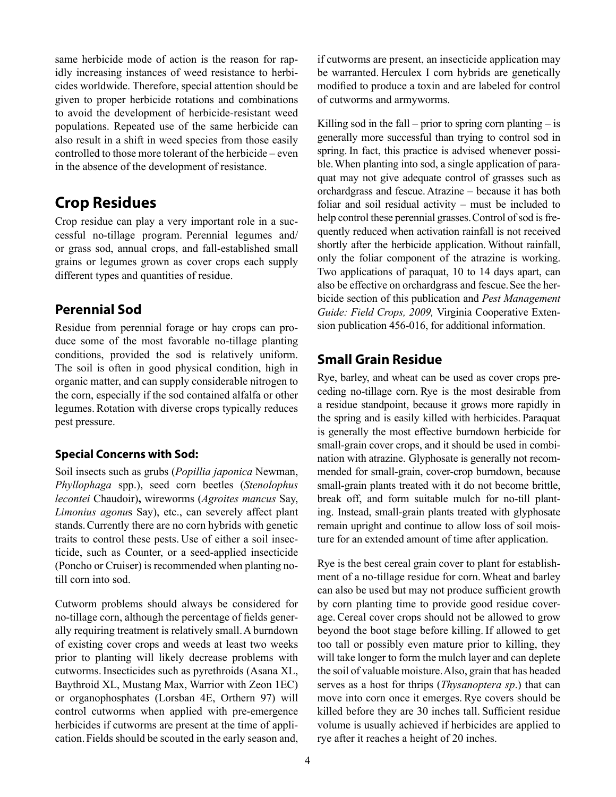same herbicide mode of action is the reason for rapidly increasing instances of weed resistance to herbicides worldwide. Therefore, special attention should be given to proper herbicide rotations and combinations to avoid the development of herbicide-resistant weed populations. Repeated use of the same herbicide can also result in a shift in weed species from those easily controlled to those more tolerant of the herbicide – even in the absence of the development of resistance.

### **Crop Residues**

Crop residue can play a very important role in a successful no-tillage program. Perennial legumes and/ or grass sod, annual crops, and fall-established small grains or legumes grown as cover crops each supply different types and quantities of residue.

### **Perennial Sod**

Residue from perennial forage or hay crops can produce some of the most favorable no-tillage planting conditions, provided the sod is relatively uniform. The soil is often in good physical condition, high in organic matter, and can supply considerable nitrogen to the corn, especially if the sod contained alfalfa or other legumes.Rotation with diverse crops typically reduces pest pressure.

#### **Special Concerns with Sod:**

Soil insects such as grubs (*Popillia japonica* Newman, *Phyllophaga* spp.), seed corn beetles (*Stenolophus lecontei* Chaudoir)**,** wireworms (*Agroites mancus* Say, *Limonius agonu*s Say), etc., can severely affect plant stands.Currently there are no corn hybrids with genetic traits to control these pests. Use of either a soil insecticide, such as Counter, or a seed-applied insecticide (Poncho or Cruiser) is recommended when planting notill corn into sod.

Cutworm problems should always be considered for no-tillage corn, although the percentage of fields generally requiring treatment is relatively small.A burndown of existing cover crops and weeds at least two weeks prior to planting will likely decrease problems with cutworms.Insecticides such as pyrethroids (Asana XL, Baythroid XL, Mustang Max, Warrior with Zeon 1EC) or organophosphates (Lorsban 4E, Orthern 97) will control cutworms when applied with pre-emergence herbicides if cutworms are present at the time of application.Fields should be scouted in the early season and,

if cutworms are present, an insecticide application may be warranted. Herculex I corn hybrids are genetically modified to produce a toxin and are labeled for control of cutworms and armyworms.

Killing sod in the fall – prior to spring corn planting – is generally more successful than trying to control sod in spring. In fact, this practice is advised whenever possible.When planting into sod, a single application of paraquat may not give adequate control of grasses such as orchardgrass and fescue.Atrazine – because it has both foliar and soil residual activity – must be included to help control these perennial grasses.Control of sod is frequently reduced when activation rainfall is not received shortly after the herbicide application. Without rainfall, only the foliar component of the atrazine is working. Two applications of paraquat, 10 to 14 days apart, can also be effective on orchardgrass and fescue.See the herbicide section of this publication and *Pest Management Guide: Field Crops, 2009,* Virginia Cooperative Extension publication 456-016, for additional information.

#### **Small Grain Residue**

Rye, barley, and wheat can be used as cover crops preceding no-tillage corn. Rye is the most desirable from a residue standpoint, because it grows more rapidly in the spring and is easily killed with herbicides. Paraquat is generally the most effective burndown herbicide for small-grain cover crops, and it should be used in combination with atrazine. Glyphosate is generally not recommended for small-grain, cover-crop burndown, because small-grain plants treated with it do not become brittle, break off, and form suitable mulch for no-till planting. Instead, small-grain plants treated with glyphosate remain upright and continue to allow loss of soil moisture for an extended amount of time after application.

Rye is the best cereal grain cover to plant for establishment of a no-tillage residue for corn.Wheat and barley can also be used but may not produce sufficient growth by corn planting time to provide good residue coverage.Cereal cover crops should not be allowed to grow beyond the boot stage before killing. If allowed to get too tall or possibly even mature prior to killing, they will take longer to form the mulch layer and can deplete the soil of valuable moisture.Also, grain that has headed serves as a host for thrips (*Thysanoptera sp*.) that can move into corn once it emerges. Rye covers should be killed before they are 30 inches tall. Sufficient residue volume is usually achieved if herbicides are applied to rye after it reaches a height of 20 inches.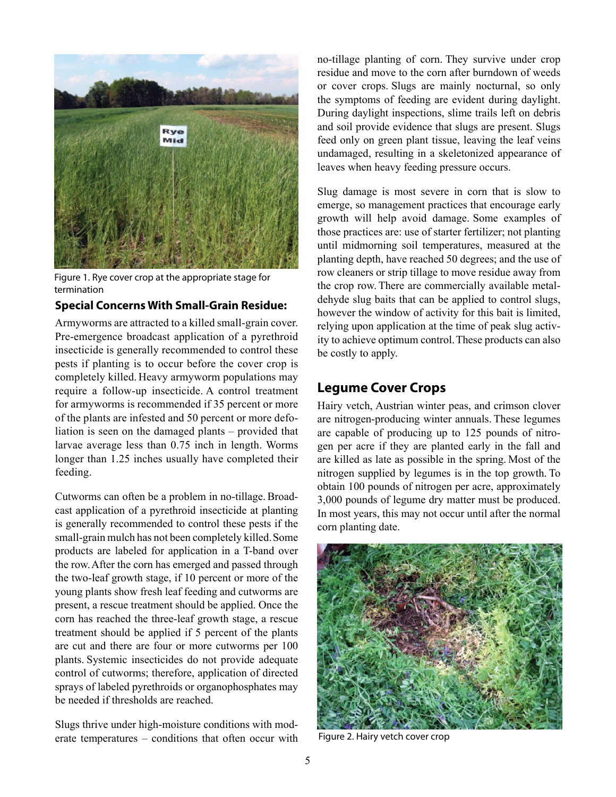

Figure 1. Rye cover crop at the appropriate stage for termination

#### **Special Concerns With Small-Grain Residue:**

Armyworms are attracted to a killed small-grain cover. Pre-emergence broadcast application of a pyrethroid insecticide is generally recommended to control these pests if planting is to occur before the cover crop is completely killed. Heavy armyworm populations may require a follow-up insecticide. A control treatment for armyworms is recommended if 35 percent or more of the plants are infested and 50 percent or more defoliation is seen on the damaged plants – provided that larvae average less than 0.75 inch in length. Worms longer than 1.25 inches usually have completed their feeding.

Cutworms can often be a problem in no-tillage.Broadcast application of a pyrethroid insecticide at planting is generally recommended to control these pests if the small-grain mulch has not been completely killed.Some products are labeled for application in a T-band over the row.After the corn has emerged and passed through the two-leaf growth stage, if 10 percent or more of the young plants show fresh leaf feeding and cutworms are present, a rescue treatment should be applied. Once the corn has reached the three-leaf growth stage, a rescue treatment should be applied if 5 percent of the plants are cut and there are four or more cutworms per 100 plants. Systemic insecticides do not provide adequate control of cutworms; therefore, application of directed sprays of labeled pyrethroids or organophosphates may be needed if thresholds are reached.

Slugs thrive under high-moisture conditions with moderate temperatures – conditions that often occur with

no-tillage planting of corn. They survive under crop residue and move to the corn after burndown of weeds or cover crops. Slugs are mainly nocturnal, so only the symptoms of feeding are evident during daylight. During daylight inspections, slime trails left on debris and soil provide evidence that slugs are present. Slugs feed only on green plant tissue, leaving the leaf veins undamaged, resulting in a skeletonized appearance of leaves when heavy feeding pressure occurs.

Slug damage is most severe in corn that is slow to emerge, so management practices that encourage early growth will help avoid damage. Some examples of those practices are: use of starter fertilizer; not planting until midmorning soil temperatures, measured at the planting depth, have reached 50 degrees; and the use of row cleaners or strip tillage to move residue away from the crop row. There are commercially available metaldehyde slug baits that can be applied to control slugs, however the window of activity for this bait is limited, relying upon application at the time of peak slug activity to achieve optimum control.These products can also be costly to apply.

#### **Legume Cover Crops**

Hairy vetch, Austrian winter peas, and crimson clover are nitrogen-producing winter annuals. These legumes are capable of producing up to 125 pounds of nitrogen per acre if they are planted early in the fall and are killed as late as possible in the spring. Most of the nitrogen supplied by legumes is in the top growth. To obtain 100 pounds of nitrogen per acre, approximately 3,000 pounds of legume dry matter must be produced. In most years, this may not occur until after the normal corn planting date.



Figure 2. Hairy vetch cover crop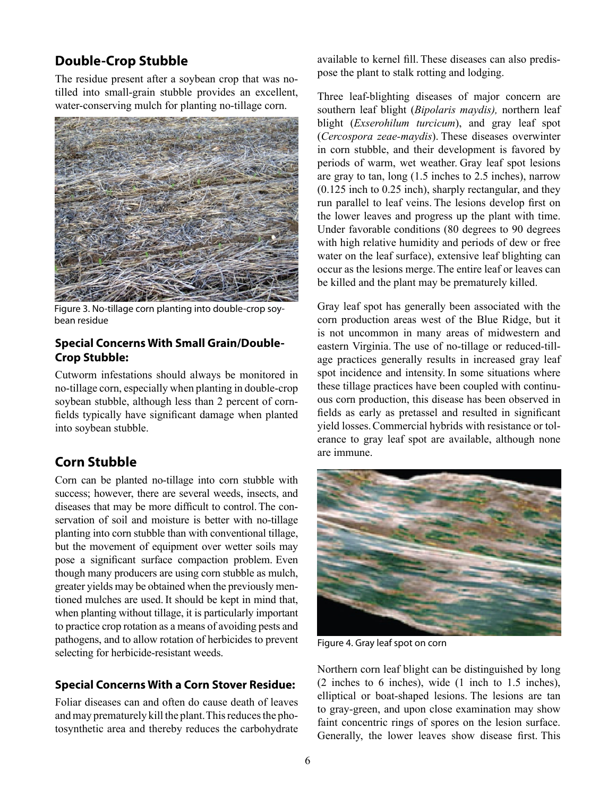### **Double-Crop Stubble**

The residue present after a soybean crop that was notilled into small-grain stubble provides an excellent, water-conserving mulch for planting no-tillage corn.



Figure 3. No-tillage corn planting into double-crop soybean residue

#### **Special Concerns With Small Grain/Double-Crop Stubble:**

Cutworm infestations should always be monitored in no-tillage corn, especially when planting in double-crop soybean stubble, although less than 2 percent of cornfields typically have significant damage when planted into soybean stubble.

### **Corn Stubble**

Corn can be planted no-tillage into corn stubble with success; however, there are several weeds, insects, and diseases that may be more difficult to control. The conservation of soil and moisture is better with no-tillage planting into corn stubble than with conventional tillage, but the movement of equipment over wetter soils may pose a significant surface compaction problem. Even though many producers are using corn stubble as mulch, greater yields may be obtained when the previously mentioned mulches are used.It should be kept in mind that, when planting without tillage, it is particularly important to practice crop rotation as a means of avoiding pests and pathogens, and to allow rotation of herbicides to prevent selecting for herbicide-resistant weeds.

#### **Special Concerns With a Corn Stover Residue:**

Foliar diseases can and often do cause death of leaves and may prematurely kill the plant.This reduces the photosynthetic area and thereby reduces the carbohydrate

available to kernel fill. These diseases can also predispose the plant to stalk rotting and lodging.

Three leaf-blighting diseases of major concern are southern leaf blight (*Bipolaris maydis),* northern leaf blight (*Exserohilum turcicum*), and gray leaf spot (*Cercospora zeae-maydis*). These diseases overwinter in corn stubble, and their development is favored by periods of warm, wet weather. Gray leaf spot lesions are gray to tan, long (1.5 inches to 2.5 inches), narrow (0.125 inch to 0.25 inch), sharply rectangular, and they run parallel to leaf veins. The lesions develop first on the lower leaves and progress up the plant with time. Under favorable conditions (80 degrees to 90 degrees with high relative humidity and periods of dew or free water on the leaf surface), extensive leaf blighting can occur as the lesions merge.The entire leaf or leaves can be killed and the plant may be prematurely killed.

Gray leaf spot has generally been associated with the corn production areas west of the Blue Ridge, but it is not uncommon in many areas of midwestern and eastern Virginia. The use of no-tillage or reduced-tillage practices generally results in increased gray leaf spot incidence and intensity. In some situations where these tillage practices have been coupled with continuous corn production, this disease has been observed in fields as early as pretassel and resulted in significant yield losses.Commercial hybrids with resistance or tolerance to gray leaf spot are available, although none are immune.



Figure 4. Gray leaf spot on corn

Northern corn leaf blight can be distinguished by long (2 inches to 6 inches), wide (1 inch to 1.5 inches), elliptical or boat-shaped lesions. The lesions are tan to gray-green, and upon close examination may show faint concentric rings of spores on the lesion surface. Generally, the lower leaves show disease first. This